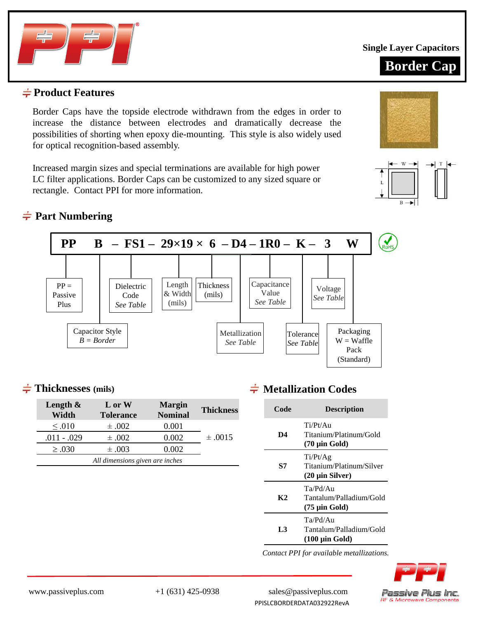

**Single Layer Capacitors**



#### **Product Features**

Border Caps have the topside electrode withdrawn from the edges in order to increase the distance between electrodes and dramatically decrease the possibilities of shorting when epoxy die-mounting. This style is also widely used for optical recognition-based assembly.

Increased margin sizes and special terminations are available for high power LC filter applications. Border Caps can be customized to any sized square or rectangle. Contact PPI for more information.

# **Part Numbering**



#### **Thicknesses (mils)**

| Length $\&$<br>Width | L or W<br><b>Tolerance</b>      | <b>Margin</b><br><b>Nominal</b> | <b>Thickness</b> |
|----------------------|---------------------------------|---------------------------------|------------------|
| $\leq .010$          | $\pm .002$                      | 0.001                           |                  |
| $.011 - .029$        | $\pm .002$                      | 0.002                           | $\pm .0015$      |
| $\geq .030$          | $\pm .003$                      | 0.002                           |                  |
|                      | All dimensions given are inches |                                 |                  |

## $\div$  **Metallization Codes**

| Code | <b>Description</b>                                                        |
|------|---------------------------------------------------------------------------|
| D4   | Ti/Pt/Au<br>Titanium/Platinum/Gold<br>$(70 \mu m)$ Gold)                  |
| S7   | Ti/Pt/Ag<br>Titanium/Platinum/Silver<br>$(20 \mu \text{in Silver})$       |
| K2   | Ta/Pd/Au<br>Tantalum/Palladium/Gold<br>(75 µin Gold)                      |
| I 3  | Ta/Pd/Au<br>Tantalum/Palladium/Gold<br>$(100 \mu \text{in} \text{ Gold})$ |

*Contact PPI for available metallizations.*



www.passiveplus.com +1 (631) 425-0938 sales@passiveplus.com PPISLCBORDERDATA032922RevA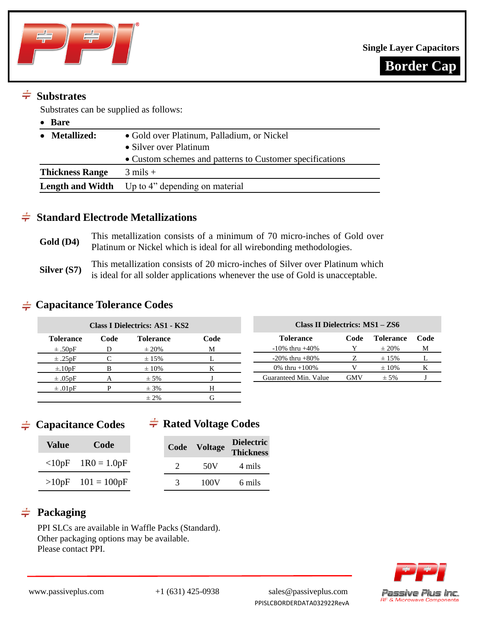



# $\div$  Substrates

Substrates can be supplied as follows:

| Bare                   |                                                          |
|------------------------|----------------------------------------------------------|
| <b>Metallized:</b>     | • Gold over Platinum, Palladium, or Nickel               |
|                        | • Silver over Platinum                                   |
|                        | • Custom schemes and patterns to Customer specifications |
| <b>Thickness Range</b> | $3 \text{ miles} +$                                      |
|                        | <b>Length and Width</b> Up to 4" depending on material   |

#### **Standard Electrode Metallizations**

Gold (D4) This metallization consists of a minimum of 70 micro-inches of Gold over Platinum or Nickel which is ideal for all wirebonding methodologies. **Silver (S7)** This metallization consists of 20 micro-inches of Silver over Platinum which is ideal for all solder applications whenever the use of Gold is unacceptable.

#### **Capacitance Tolerance Codes**

|                          |      | <b>Class I Dielectrics: AS1 - KS2</b> |      | Class II Dielectrics: MS1 - ZS6 |                       |            |                  |      |  |  |  |
|--------------------------|------|---------------------------------------|------|---------------------------------|-----------------------|------------|------------------|------|--|--|--|
| <b>Tolerance</b>         | Code | <b>Tolerance</b>                      | Code |                                 | <b>Tolerance</b>      | Code       | <b>Tolerance</b> | Code |  |  |  |
| $\pm .50pF$              |      | $\pm 20\%$                            | M    |                                 | $-10\%$ thru $+40\%$  |            | $\pm 20\%$       | M    |  |  |  |
| $\pm .25pF$              |      | $\pm 15\%$                            |      |                                 | $-20\%$ thru $+80\%$  |            | $\pm 15\%$       |      |  |  |  |
| $\pm .10pF$              |      | $\pm 10\%$                            |      |                                 | 0% thru $+100%$       |            | $\pm 10\%$       |      |  |  |  |
| $\pm .05$ <sub>p</sub> F |      | $± 5\%$                               |      |                                 | Guaranteed Min. Value | <b>GMV</b> | $\pm$ 5%         |      |  |  |  |
| $\pm .01$ <sub>pF</sub>  |      | $\pm$ 3%                              | Н    |                                 |                       |            |                  |      |  |  |  |
|                          |      | $\pm 2\%$                             | G    |                                 |                       |            |                  |      |  |  |  |

**Capacitance Codes**

## $\div$  **Rated Voltage Codes**

| <b>Value</b> | Code                |   | Code Voltage | <b>Dielectric</b><br>Thickness |
|--------------|---------------------|---|--------------|--------------------------------|
|              | $<10pF$ 1R0 = 1.0pF |   | 50V          | 4 mils                         |
|              | $>10pF$ 101 = 100pF | 3 | 100V         | 6 mils                         |

# $\neq$  Packaging

PPI SLCs are available in Waffle Packs (Standard). Other packaging options may be available. Please contact PPI.



www.passiveplus.com +1 (631) 425-0938 sales@passiveplus.com PPISLCBORDERDATA032922RevA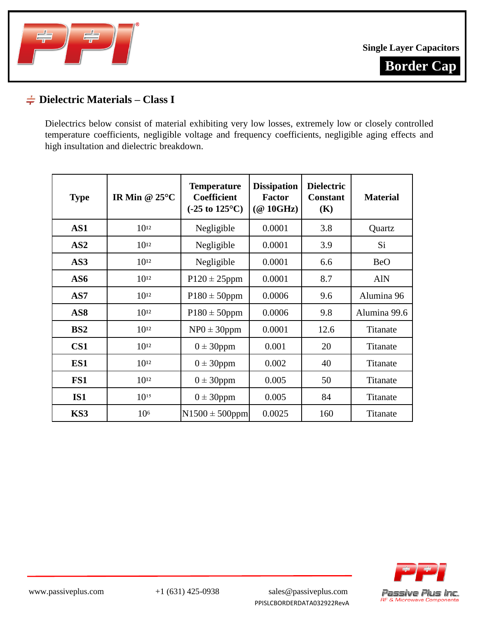



## **Dielectric Materials – Class I**

Dielectrics below consist of material exhibiting very low losses, extremely low or closely controlled temperature coefficients, negligible voltage and frequency coefficients, negligible aging effects and high insultation and dielectric breakdown.

| <b>Type</b>     | IR Min @ $25^{\circ}$ C | <b>Temperature</b><br><b>Coefficient</b><br>$(-25 \text{ to } 125^{\circ}\text{C})$ | <b>Dissipation</b><br><b>Factor</b><br>$(\textcircled{a}$ 10GHz) | <b>Dielectric</b><br><b>Constant</b><br>(K) | <b>Material</b> |  |
|-----------------|-------------------------|-------------------------------------------------------------------------------------|------------------------------------------------------------------|---------------------------------------------|-----------------|--|
| AS1             | $10^{12}$               | Negligible                                                                          | 0.0001                                                           | 3.8                                         | Quartz          |  |
| AS2             | $10^{12}$               | Negligible                                                                          | 0.0001                                                           | 3.9                                         | Si              |  |
| AS3             | $10^{12}$               | Negligible                                                                          | 0.0001                                                           | 6.6                                         | <b>BeO</b>      |  |
| AS6             | $10^{12}$               | $P120 \pm 25$ ppm                                                                   | 0.0001                                                           | 8.7                                         | <b>AlN</b>      |  |
| AS7             | $10^{12}$               | $P180 \pm 50$ ppm                                                                   | 0.0006                                                           | 9.6                                         | Alumina 96      |  |
| AS <sub>8</sub> | $10^{12}$               | $P180 \pm 50$ ppm                                                                   | 0.0006                                                           | 9.8                                         | Alumina 99.6    |  |
| BS2             | $10^{12}$               | $NP0 \pm 30$ ppm                                                                    | 0.0001                                                           | 12.6                                        | Titanate        |  |
| CS <sub>1</sub> | $10^{12}$               | $0 \pm 30$ ppm                                                                      | 0.001                                                            | 20                                          | Titanate        |  |
| ES1             | $10^{12}$               | $0 \pm 30$ ppm                                                                      | 0.002                                                            | 40                                          | Titanate        |  |
| FS1             | $10^{12}$               | $0 \pm 30$ ppm                                                                      | 0.005                                                            | 50                                          | Titanate        |  |
| <b>IS1</b>      | $10^{15}$               | $0 \pm 30$ ppm                                                                      | 0.005                                                            | 84                                          | Titanate        |  |
| KS3             | 10 <sup>6</sup>         | $N1500 \pm 500$ ppm                                                                 | 0.0025                                                           | 160                                         | Titanate        |  |

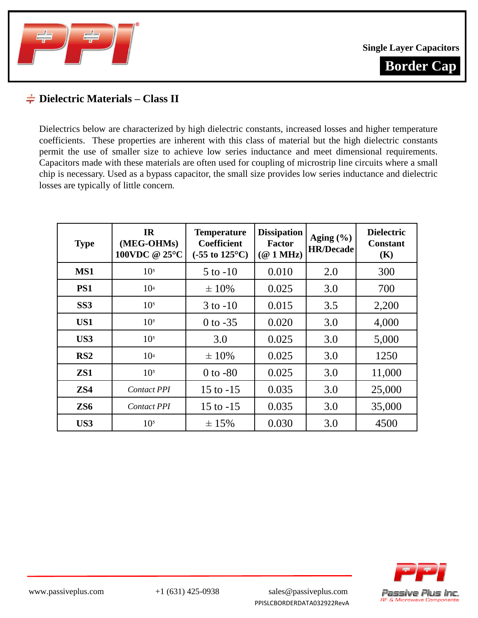

**Single Layer Capacitors**

**Border Cap**

#### **Dielectric Materials – Class II**

Dielectrics below are characterized by high dielectric constants, increased losses and higher temperature coefficients. These properties are inherent with this class of material but the high dielectric constants permit the use of smaller size to achieve low series inductance and meet dimensional requirements. Capacitors made with these materials are often used for coupling of microstrip line circuits where a small chip is necessary. Used as a bypass capacitor, the small size provides low series inductance and dielectric losses are typically of little concern.

| <b>Type</b>     | <b>IR</b><br><b>Temperature</b><br>(MEG-OHMs)<br><b>Coefficient</b><br>100VDC @ 25°C<br>$(-55 \text{ to } 125^{\circ}\text{C})$ |              | <b>Dissipation</b><br><b>Factor</b><br>$(Q_1 \text{ MHz})$ | Aging $(\% )$<br><b>HR/Decade</b> | <b>Dielectric</b><br><b>Constant</b><br>(K) |
|-----------------|---------------------------------------------------------------------------------------------------------------------------------|--------------|------------------------------------------------------------|-----------------------------------|---------------------------------------------|
| MS1             | 10 <sup>5</sup>                                                                                                                 | $5$ to $-10$ | 0.010                                                      | 2.0                               | 300                                         |
| PS1             | 10 <sup>4</sup>                                                                                                                 | $\pm 10\%$   | 0.025                                                      | 3.0                               | 700                                         |
| SS <sub>3</sub> | 10 <sup>5</sup>                                                                                                                 | $3$ to $-10$ | 0.015                                                      | 3.5                               | 2,200                                       |
| US1             | 10 <sup>5</sup>                                                                                                                 | $0$ to $-35$ | 0.020                                                      | 3.0                               | 4,000                                       |
| US3             | 10 <sup>5</sup>                                                                                                                 | 3.0          | 0.025                                                      | 3.0                               | 5,000                                       |
| RS2             | 10 <sup>4</sup>                                                                                                                 | $\pm 10\%$   | 0.025                                                      | 3.0                               | 1250                                        |
| ZS1             | 10 <sup>5</sup>                                                                                                                 | $0$ to $-80$ | 0.025                                                      | 3.0                               | 11,000                                      |
| ZS4             | <b>Contact PPI</b>                                                                                                              | 15 to $-15$  | 0.035                                                      | 3.0                               | 25,000                                      |
| ZS <sub>6</sub> | <b>Contact PPI</b>                                                                                                              | 15 to $-15$  | 0.035                                                      | 3.0                               | 35,000                                      |
| US3             | 10 <sup>5</sup>                                                                                                                 | ± 15%        | 0.030                                                      | 3.0                               | 4500                                        |

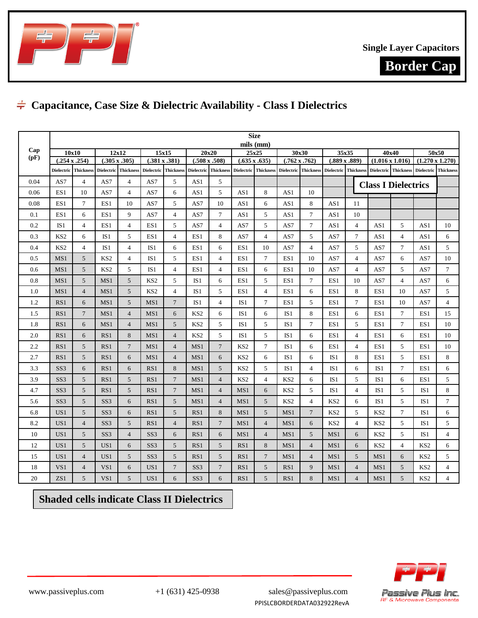



# **Capacitance, Case Size & Dielectric Availability - Class I Dielectrics**

|      |                   |                                              |                      |                         |                 |                      |                   |                  |                      | <b>Size</b><br>mils (mm) |                 |                      |                      |                |                            |                                 |                        |                  |
|------|-------------------|----------------------------------------------|----------------------|-------------------------|-----------------|----------------------|-------------------|------------------|----------------------|--------------------------|-----------------|----------------------|----------------------|----------------|----------------------------|---------------------------------|------------------------|------------------|
| Cap  | 10x10             |                                              |                      | 12x12<br>15x15<br>20x20 |                 |                      |                   |                  |                      | 25x25                    |                 | 30x30                | 35x35                | 40x40          |                            |                                 | 50x50                  |                  |
| (pF) |                   | $(.254 \times .254)$<br>$(.305 \times .305)$ |                      |                         | (.381 x .381)   | $(.508 \times .508)$ |                   |                  | $(.635 \times .635)$ | $(.762 \times .762)$     |                 | $(.889 \times .889)$ |                      |                | $(1.016 \times 1.016)$     |                                 | $(1.270 \times 1.270)$ |                  |
|      | <b>Dielectric</b> | <b>Thickness</b>                             | Dielectric Thickness |                         | Dielectric      | <b>Thickness</b>     | <b>Dielectric</b> | <b>Thickness</b> |                      | Dielectric Thickness     | Dielectric      | <b>Thickness</b>     | Dielectric Thickness |                |                            | Dielectric Thickness Dielectric |                        | <b>Thickness</b> |
| 0.04 | AS7               | $\overline{4}$                               | AS7                  | $\overline{4}$          | AS7             | 5                    | AS1               | 5                |                      |                          |                 |                      |                      |                | <b>Class I Dielectrics</b> |                                 |                        |                  |
| 0.06 | ES1               | 10                                           | AS7                  | $\overline{4}$          | AS7             | 6                    | AS1               | 5                | AS1                  | 8                        | AS1             | 10                   |                      |                |                            |                                 |                        |                  |
| 0.08 | ES1               | $\tau$                                       | ES1                  | 10                      | AS7             | 5                    | AS7               | 10               | AS1                  | 6                        | AS1             | 8                    | AS1                  | 11             |                            |                                 |                        |                  |
| 0.1  | ES1               | 6                                            | ES1                  | 9                       | AS7             | $\overline{4}$       | AS7               | $\overline{7}$   | AS1                  | 5                        | AS1             | $\overline{7}$       | AS1                  | 10             |                            |                                 |                        |                  |
| 0.2  | IS <sub>1</sub>   | $\overline{4}$                               | ES1                  | $\overline{4}$          | ES1             | 5                    | AS7               | $\overline{4}$   | AS7                  | 5                        | AS7             | 7                    | AS1                  | $\overline{4}$ | AS1                        | 5                               | AS1                    | 10               |
| 0.3  | KS <sub>2</sub>   | 6                                            | IS <sub>1</sub>      | 5                       | ES1             | $\overline{4}$       | ES1               | 8                | AS7                  | $\overline{4}$           | AS7             | 5                    | AS7                  | $\tau$         | AS1                        | $\overline{4}$                  | AS1                    | 6                |
| 0.4  | KS <sub>2</sub>   | $\overline{4}$                               | IS1                  | $\overline{4}$          | IS1             | 6                    | ES1               | 6                | ES1                  | 10                       | AS7             | $\overline{4}$       | AS7                  | 5              | AS7                        | $\overline{7}$                  | AS1                    | 5                |
| 0.5  | MS1               | 5                                            | KS2                  | $\overline{4}$          | IS <sub>1</sub> | 5                    | ES1               | $\overline{4}$   | ES1                  | $\tau$                   | ES <sub>1</sub> | 10                   | AS7                  | $\overline{4}$ | AS7                        | 6                               | AS7                    | 10               |
| 0.6  | MS1               | 5                                            | KS <sub>2</sub>      | 5                       | IS1             | $\overline{4}$       | ES1               | $\overline{4}$   | ES1                  | 6                        | ES1             | 10                   | AS7                  | $\overline{4}$ | AS7                        | 5                               | AS7                    | $\overline{7}$   |
| 0.8  | MS1               | 5                                            | MS1                  | 5                       | KS <sub>2</sub> | 5                    | IS1               | 6                | ES1                  | 5                        | ES1             | 7                    | ES1                  | 10             | AS7                        | $\overline{4}$                  | AS7                    | 6                |
| 1.0  | MS1               | $\overline{4}$                               | MS1                  | 5                       | KS <sub>2</sub> | $\overline{4}$       | IS1               | 5                | ES1                  | $\overline{4}$           | ES1             | 6                    | ES1                  | 8              | ES1                        | 10                              | AS7                    | 5                |
| 1.2  | RS1               | 6                                            | MS1                  | 5                       | MS1             | $\overline{7}$       | IS <sub>1</sub>   | $\overline{4}$   | IS <sub>1</sub>      | 7                        | ES1             | 5                    | ES1                  | $\tau$         | ES1                        | 10                              | AS7                    | $\overline{4}$   |
| 1.5  | RS1               | $\overline{7}$                               | MS1                  | $\overline{4}$          | MS1             | 6                    | KS <sub>2</sub>   | 6                | IS1                  | 6                        | IS1             | 8                    | ES1                  | 6              | ES1                        | $\tau$                          | ES1                    | 15               |
| 1.8  | RS1               | 6                                            | MS1                  | $\overline{4}$          | MS1             | 5                    | KS <sub>2</sub>   | 5                | IS1                  | 5                        | IS1             | 7                    | ES1                  | 5              | ES1                        | $\tau$                          | ES1                    | 10               |
| 2.0  | RS1               | 6                                            | RS1                  | 8                       | MS1             | $\overline{4}$       | KS <sub>2</sub>   | 5                | IS1                  | 5                        | IS1             | 6                    | ES1                  | $\overline{4}$ | ES1                        | 6                               | ES1                    | 10               |
| 2.2  | RS1               | 5                                            | RS1                  | $7\overline{ }$         | MS1             | $\overline{4}$       | MS1               | $\overline{7}$   | KS <sub>2</sub>      | $\tau$                   | IS <sub>1</sub> | 6                    | ES1                  | $\overline{4}$ | ES1                        | 5                               | ES1                    | 10               |
| 2.7  | RS1               | 5                                            | RS1                  | 6                       | MS1             | $\overline{4}$       | MS1               | 6                | KS <sub>2</sub>      | 6                        | IS1             | 6                    | IS <sub>1</sub>      | 8              | ES1                        | 5                               | ES1                    | 8                |
| 3.3  | SS <sub>3</sub>   | 6                                            | RS1                  | 6                       | RS1             | 8                    | MS1               | 5                | KS <sub>2</sub>      | 5                        | IS <sub>1</sub> | $\overline{4}$       | IS <sub>1</sub>      | 6              | IS1                        | $\tau$                          | ES1                    | 6                |
| 3.9  | SS <sub>3</sub>   | 5                                            | RS1                  | 5                       | RS1             | $\overline{7}$       | MS1               | $\overline{4}$   | KS <sub>2</sub>      | $\overline{4}$           | KS <sub>2</sub> | 6                    | IS <sub>1</sub>      | 5              | IS <sub>1</sub>            | 6                               | ES1                    | 5                |
| 4.7  | SS <sub>3</sub>   | 5                                            | RS1                  | 5                       | RS1             | $7\phantom{.0}$      | MS1               | $\overline{4}$   | MS1                  | 6                        | KS <sub>2</sub> | 5                    | IS <sub>1</sub>      | $\overline{4}$ | IS1                        | 5                               | IS1                    | 8                |
| 5.6  | SS <sub>3</sub>   | 5                                            | SS <sub>3</sub>      | 6                       | RS1             | $\sqrt{5}$           | MS1               | $\overline{4}$   | MS1                  | 5                        | KS <sub>2</sub> | $\overline{4}$       | KS <sub>2</sub>      | 6              | IS1                        | 5                               | IS1                    | $\tau$           |
| 6.8  | US1               | 5                                            | SS <sub>3</sub>      | 6                       | RS1             | 5                    | RS1               | 8                | MS1                  | 5                        | MS1             | $\overline{7}$       | KS <sub>2</sub>      | 5              | KS <sub>2</sub>            | $\tau$                          | IS1                    | 6                |
| 8.2  | US1               | $\overline{4}$                               | SS <sub>3</sub>      | 5                       | RS1             | $\overline{4}$       | RS1               | $\overline{7}$   | MS1                  | $\overline{4}$           | MS1             | 6                    | KS <sub>2</sub>      | $\overline{4}$ | KS <sub>2</sub>            | 5                               | IS1                    | 5                |
| 10   | US1               | 5                                            | SS <sub>3</sub>      | $\overline{4}$          | SS <sub>3</sub> | 6                    | RS1               | 6                | MS1                  | $\overline{4}$           | MS1             | 5                    | MS1                  | 6              | KS <sub>2</sub>            | 5                               | IS1                    | $\overline{4}$   |
| 12   | US1               | 5                                            | US1                  | 6                       | SS <sub>3</sub> | $\mathfrak{I}$       | RS1               | 5                | RS1                  | 8                        | MS1             | $\overline{4}$       | MS1                  | 6              | KS <sub>2</sub>            | $\overline{4}$                  | KS <sub>2</sub>        | 6                |
| 15   | US1               | $\overline{4}$                               | US1                  | 5                       | SS <sub>3</sub> | 5                    | RS1               | 5                | RS1                  | $\overline{7}$           | MS1             | $\overline{4}$       | MS1                  | 5              | MS1                        | 6                               | KS <sub>2</sub>        | 5                |
| 18   | VS <sub>1</sub>   | $\overline{4}$                               | VS1                  | 6                       | US <sub>1</sub> | $\overline{7}$       | SS <sub>3</sub>   | $\overline{7}$   | RS1                  | 5                        | RS1             | 9                    | MS1                  | $\overline{4}$ | MS1                        | 5                               | KS <sub>2</sub>        | $\overline{4}$   |
| 20   | ZS1               | 5                                            | VS1                  | 5                       | US1             | 6                    | SS <sub>3</sub>   | 6                | RS1                  | 5                        | RS1             | 8                    | MS1                  | $\overline{4}$ | MS1                        | 5                               | KS <sub>2</sub>        | $\overline{4}$   |

**Shaded cells indicate Class II Dielectrics**

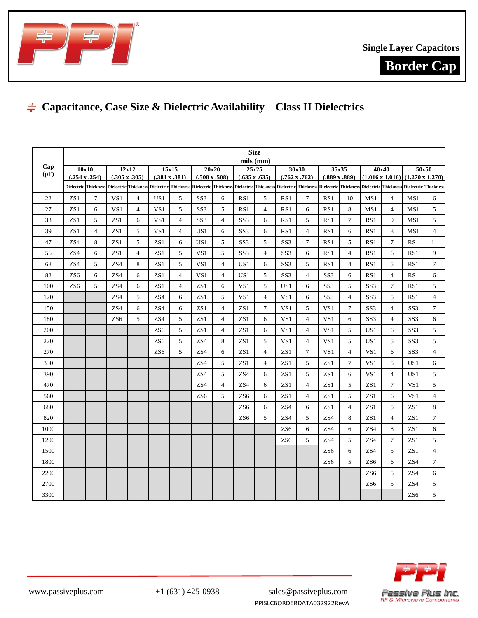



# **Capacitance, Case Size & Dielectric Availability – Class II Dielectrics**

|      |                 |                         |                                                                |                |                             |                |                      |                | <b>Size</b>          |                |                      |                 |                               |                |                                                                                                                               |                |                                             |                |
|------|-----------------|-------------------------|----------------------------------------------------------------|----------------|-----------------------------|----------------|----------------------|----------------|----------------------|----------------|----------------------|-----------------|-------------------------------|----------------|-------------------------------------------------------------------------------------------------------------------------------|----------------|---------------------------------------------|----------------|
| Cap  |                 | 12x12<br>15x15<br>10x10 |                                                                |                | mils (mm)<br>20x20<br>25x25 |                |                      |                | 30x30                |                |                      |                 | 40x40                         |                |                                                                                                                               | 50x50          |                                             |                |
| (pF) |                 | $(.254 \times .254)$    | $(.305 \times .305)$                                           |                | $(.381 \times .381)$        |                | $(.508 \times .508)$ |                | $(.635 \times .635)$ |                | $(.762 \times .762)$ |                 | 35x35<br>$(.889 \times .889)$ |                |                                                                                                                               |                | $(1.016 \times 1.016) (1.270 \times 1.270)$ |                |
|      |                 |                         | Dielectric Thickness Dielectric Thickness Dielectric Thickness |                |                             |                |                      |                |                      |                |                      |                 |                               |                | Dielectric Thickness Dielectric Thickness Dielectric Thickness Dielectric Thickness Dielectric Thickness Dielectric Thickness |                |                                             |                |
| 22   | ZS <sub>1</sub> | 7                       | VS1                                                            | 4              | US <sub>1</sub>             | 5              | SS <sub>3</sub>      | 6              | RS1                  | 5              | RS1                  | $\tau$          | RS1                           | 10             | MS1                                                                                                                           | $\overline{4}$ | MS1                                         | 6              |
| 27   | ZS1             | 6                       | VS1                                                            | $\overline{4}$ | VS1                         | 5              | SS <sub>3</sub>      | 5              | RS1                  | $\overline{4}$ | RS1                  | 6               | RS1                           | 8              | MS1                                                                                                                           | $\overline{4}$ | MS1                                         | 5              |
| 33   | ZS1             | 5                       | ZS1                                                            | 6              | VS <sub>1</sub>             | $\overline{4}$ | SS <sub>3</sub>      | $\overline{4}$ | SS <sub>3</sub>      | 6              | RS1                  | 5               | RS1                           | 7              | RS1                                                                                                                           | 9              | MS1                                         | 5              |
| 39   | ZS <sub>1</sub> | $\overline{4}$          | ZS1                                                            | 5              | VS1                         | $\overline{4}$ | US1                  | 6              | SS <sub>3</sub>      | 6              | RS1                  | $\overline{4}$  | RS1                           | 6              | RS1                                                                                                                           | 8              | MS1                                         | $\overline{4}$ |
| 47   | ZS4             | 8                       | ZS1                                                            | 5              | ZS1                         | 6              | US1                  | 5              | SS <sub>3</sub>      | 5              | SS <sub>3</sub>      | $7\phantom{.0}$ | RS1                           | 5              | RS1                                                                                                                           | $\overline{7}$ | RS1                                         | 11             |
| 56   | ZS4             | 6                       | ZS1                                                            | $\overline{4}$ | ZS1                         | 5              | VS1                  | 5              | SS <sub>3</sub>      | $\overline{4}$ | SS <sub>3</sub>      | 6               | RS1                           | $\overline{4}$ | RS1                                                                                                                           | 6              | RS1                                         | 9              |
| 68   | ZS4             | 5                       | ZS4                                                            | 8              | ZS1                         | 5              | VS1                  | $\overline{4}$ | US1                  | 6              | SS <sub>3</sub>      | 5               | RS1                           | $\overline{4}$ | RS1                                                                                                                           | 5              | RS1                                         | $\tau$         |
| 82   | ZS <sub>6</sub> | 6                       | ZS4                                                            | 6              | ZS1                         | $\overline{4}$ | VS1                  | $\overline{4}$ | US1                  | 5              | SS <sub>3</sub>      | $\overline{4}$  | SS <sub>3</sub>               | 6              | RS1                                                                                                                           | $\overline{4}$ | RS1                                         | 6              |
| 100  | ZS <sub>6</sub> | 5                       | ZS4                                                            | 6              | ZS1                         | $\overline{4}$ | ZS1                  | 6              | VS1                  | 5              | US1                  | 6               | SS <sub>3</sub>               | 5              | SS <sub>3</sub>                                                                                                               | $\overline{7}$ | RS1                                         | 5              |
| 120  |                 |                         | ZS4                                                            | 5              | ZS4                         | 6              | ZS1                  | 5              | VS1                  | 4              | VS1                  | 6               | SS <sub>3</sub>               | $\overline{4}$ | SS <sub>3</sub>                                                                                                               | 5              | RS1                                         | $\overline{4}$ |
| 150  |                 |                         | ZS4                                                            | 6              | ZS4                         | 6              | ZS <sub>1</sub>      | $\overline{4}$ | ZS1                  | 7              | VS <sub>1</sub>      | 5               | VS1                           | 7              | SS <sub>3</sub>                                                                                                               | $\overline{4}$ | SS <sub>3</sub>                             | $\tau$         |
| 180  |                 |                         | ZS <sub>6</sub>                                                | 5              | ZS4                         | 5              | ZS1                  | $\overline{4}$ | ZS1                  | 6              | VS <sub>1</sub>      | $\overline{4}$  | VS1                           | 6              | SS <sub>3</sub>                                                                                                               | $\overline{4}$ | SS <sub>3</sub>                             | 6              |
| 200  |                 |                         |                                                                |                | ZS <sub>6</sub>             | 5              | ZS <sub>1</sub>      | $\overline{4}$ | ZS1                  | 6              | VS1                  | $\overline{4}$  | VS <sub>1</sub>               | 5              | US1                                                                                                                           | 6              | SS <sub>3</sub>                             | 5              |
| 220  |                 |                         |                                                                |                | ZS <sub>6</sub>             | 5              | ZS4                  | 8              | ZS1                  | 5              | VS1                  | $\overline{4}$  | VS1                           | 5              | US1                                                                                                                           | 5              | SS <sub>3</sub>                             | 5              |
| 270  |                 |                         |                                                                |                | ZS <sub>6</sub>             | 5              | ZS4                  | 6              | ZS1                  | 4              | ZS1                  | $\tau$          | VS1                           | $\overline{4}$ | VS1                                                                                                                           | 6              | SS <sub>3</sub>                             | $\overline{4}$ |
| 330  |                 |                         |                                                                |                |                             |                | ZS4                  | 5              | ZS1                  | 4              | ZS1                  | 5               | ZS1                           | 7              | VS1                                                                                                                           | 5              | US1                                         | 6              |
| 390  |                 |                         |                                                                |                |                             |                | ZS4                  | $\sqrt{5}$     | ZS4                  | 6              | ZS1                  | 5               | ZS1                           | 6              | VS1                                                                                                                           | $\overline{4}$ | US <sub>1</sub>                             | 5              |
| 470  |                 |                         |                                                                |                |                             |                | ZS4                  | $\overline{4}$ | ZS4                  | 6              | ZS1                  | $\overline{4}$  | ZS1                           | 5              | ZS1                                                                                                                           | 7              | VS <sub>1</sub>                             | 5              |
| 560  |                 |                         |                                                                |                |                             |                | ZS <sub>6</sub>      | 5              | ZS <sub>6</sub>      | 6              | ZS1                  | $\overline{4}$  | ZS1                           | 5              | ZS1                                                                                                                           | 6              | VS1                                         | $\overline{4}$ |
| 680  |                 |                         |                                                                |                |                             |                |                      |                | ZS <sub>6</sub>      | 6              | ZS4                  | 6               | ZS1                           | $\overline{4}$ | ZS1                                                                                                                           | 5              | ZS1                                         | 8              |
| 820  |                 |                         |                                                                |                |                             |                |                      |                | ZS <sub>6</sub>      | 5              | ZS4                  | 5               | ZS4                           | 8              | ZS1                                                                                                                           | $\overline{4}$ | ZS1                                         | $\tau$         |
| 1000 |                 |                         |                                                                |                |                             |                |                      |                |                      |                | ZS <sub>6</sub>      | 6               | ZS4                           | 6              | ZS <sub>4</sub>                                                                                                               | 8              | ZS1                                         | 6              |
| 1200 |                 |                         |                                                                |                |                             |                |                      |                |                      |                | ZS <sub>6</sub>      | 5               | ZS4                           | 5              | ZS4                                                                                                                           | $\overline{7}$ | ZS1                                         | 5              |
| 1500 |                 |                         |                                                                |                |                             |                |                      |                |                      |                |                      |                 | ZS <sub>6</sub>               | 6              | ZS4                                                                                                                           | 5              | ZS1                                         | $\overline{4}$ |
| 1800 |                 |                         |                                                                |                |                             |                |                      |                |                      |                |                      |                 | ZS <sub>6</sub>               | 5              | ZS <sub>6</sub>                                                                                                               | 6              | ZS4                                         | $\tau$         |
| 2200 |                 |                         |                                                                |                |                             |                |                      |                |                      |                |                      |                 |                               |                | ZS <sub>6</sub>                                                                                                               | 5              | ZS4                                         | 6              |
| 2700 |                 |                         |                                                                |                |                             |                |                      |                |                      |                |                      |                 |                               |                | ZS <sub>6</sub>                                                                                                               | 5              | ZS4                                         | 5              |
| 3300 |                 |                         |                                                                |                |                             |                |                      |                |                      |                |                      |                 |                               |                |                                                                                                                               |                | ZS <sub>6</sub>                             | 5              |



www.passiveplus.com +1 (631) 425-0938 sales@passiveplus.com PPISLCBORDERDATA032922RevA